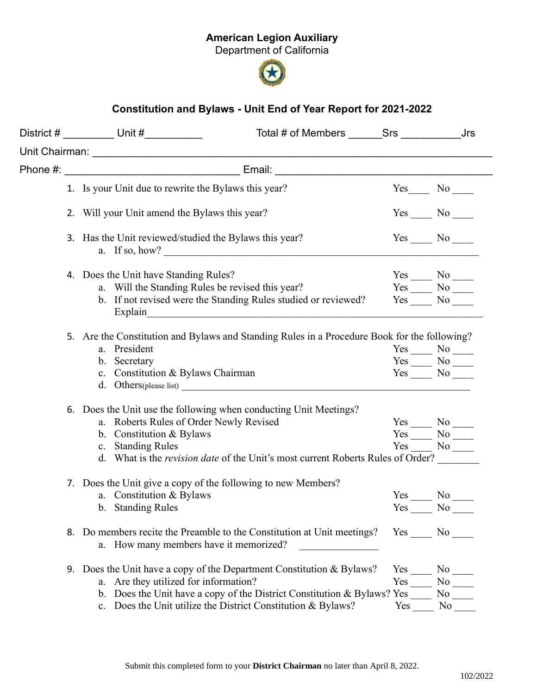## American Legion Auxiliary

Department of California



## Constitution and Bylaws - Unit End of Year Report for 2021-2022

|  |                                                                                                                   |                                                                                                                      |        | Jrs                                                                                                                                                                                                                                                              |
|--|-------------------------------------------------------------------------------------------------------------------|----------------------------------------------------------------------------------------------------------------------|--------|------------------------------------------------------------------------------------------------------------------------------------------------------------------------------------------------------------------------------------------------------------------|
|  |                                                                                                                   |                                                                                                                      |        |                                                                                                                                                                                                                                                                  |
|  | Phone #: __________________________________ Email: _________                                                      | <u> 2000 - 2000 - 2000 - 2000 - 2000 - 2000 - 2000 - 2000 - 2000 - 2000 - 2000 - 2000 - 2000 - 2000 - 2000 - 200</u> |        |                                                                                                                                                                                                                                                                  |
|  | 1. Is your Unit due to rewrite the Bylaws this year?                                                              |                                                                                                                      |        | $Yes$ <sub>____</sub> No ____                                                                                                                                                                                                                                    |
|  | 2. Will your Unit amend the Bylaws this year?                                                                     |                                                                                                                      |        | $Yes$ No $\_\_$                                                                                                                                                                                                                                                  |
|  | 3. Has the Unit reviewed/studied the Bylaws this year?<br>a. If so, how? $\qquad \qquad$                          |                                                                                                                      |        | $Yes$ No $\_\_$                                                                                                                                                                                                                                                  |
|  | 4. Does the Unit have Standing Rules?                                                                             |                                                                                                                      |        |                                                                                                                                                                                                                                                                  |
|  | a. Will the Standing Rules be revised this year?                                                                  |                                                                                                                      |        |                                                                                                                                                                                                                                                                  |
|  | b. If not revised were the Standing Rules studied or reviewed?<br>Explain explain                                 |                                                                                                                      |        | $\begin{array}{l} {\rm Yes} \quad \quad \quad No \quad \quad \\\hline {\rm Yes} \quad \quad \quad No \quad \quad \\\hline {\rm Yes} \quad \quad \quad No \quad \quad \quad \\\hline {\rm Yes} \quad \quad \quad No \quad \quad \quad \\\hline \end{array}$       |
|  | 5. Are the Constitution and Bylaws and Standing Rules in a Procedure Book for the following?                      |                                                                                                                      |        |                                                                                                                                                                                                                                                                  |
|  | a. President                                                                                                      |                                                                                                                      |        | $\begin{array}{l} {\rm Yes} \quad \quad \quad No \quad \quad \\\hline {\rm Yes} \quad \quad \quad No \quad \quad \\\hline {\rm Yes} \quad \quad \quad No \quad \quad \quad \\\hline {\rm Nos} \quad \quad \quad No \quad \quad \quad \quad \\\hline \end{array}$ |
|  | b. Secretary                                                                                                      |                                                                                                                      |        |                                                                                                                                                                                                                                                                  |
|  | c. Constitution & Bylaws Chairman<br>d. Others (please list)                                                      |                                                                                                                      |        |                                                                                                                                                                                                                                                                  |
|  | 6. Does the Unit use the following when conducting Unit Meetings?                                                 |                                                                                                                      |        |                                                                                                                                                                                                                                                                  |
|  | a. Roberts Rules of Order Newly Revised                                                                           |                                                                                                                      |        |                                                                                                                                                                                                                                                                  |
|  | b. Constitution & Bylaws                                                                                          |                                                                                                                      |        | $\frac{\text{Yes}}{\text{Yes}}$ No $\frac{\text{No}}{\text{No}}$                                                                                                                                                                                                 |
|  | c. Standing Rules                                                                                                 |                                                                                                                      |        | $Yes \_ No \_$                                                                                                                                                                                                                                                   |
|  | d. What is the revision date of the Unit's most current Roberts Rules of Order?                                   |                                                                                                                      |        |                                                                                                                                                                                                                                                                  |
|  | 7. Does the Unit give a copy of the following to new Members?                                                     |                                                                                                                      |        |                                                                                                                                                                                                                                                                  |
|  | a. Constitution & Bylaws                                                                                          |                                                                                                                      |        |                                                                                                                                                                                                                                                                  |
|  | b. Standing Rules                                                                                                 |                                                                                                                      |        | $Yes$ No $Yes$ No $\frac{N}{N}$                                                                                                                                                                                                                                  |
|  | 8. Do members recite the Preamble to the Constitution at Unit meetings?<br>a. How many members have it memorized? |                                                                                                                      | Yes No |                                                                                                                                                                                                                                                                  |
|  | 9. Does the Unit have a copy of the Department Constitution & Bylaws?                                             |                                                                                                                      | Yes    | No No                                                                                                                                                                                                                                                            |
|  | a. Are they utilized for information?                                                                             |                                                                                                                      | Yes    | No.                                                                                                                                                                                                                                                              |
|  | b. Does the Unit have a copy of the District Constitution & Bylaws? Yes                                           |                                                                                                                      |        | No                                                                                                                                                                                                                                                               |
|  | Does the Unit utilize the District Constitution & Bylaws?<br>$\mathbf{c}$ .                                       |                                                                                                                      | Yes    | No                                                                                                                                                                                                                                                               |